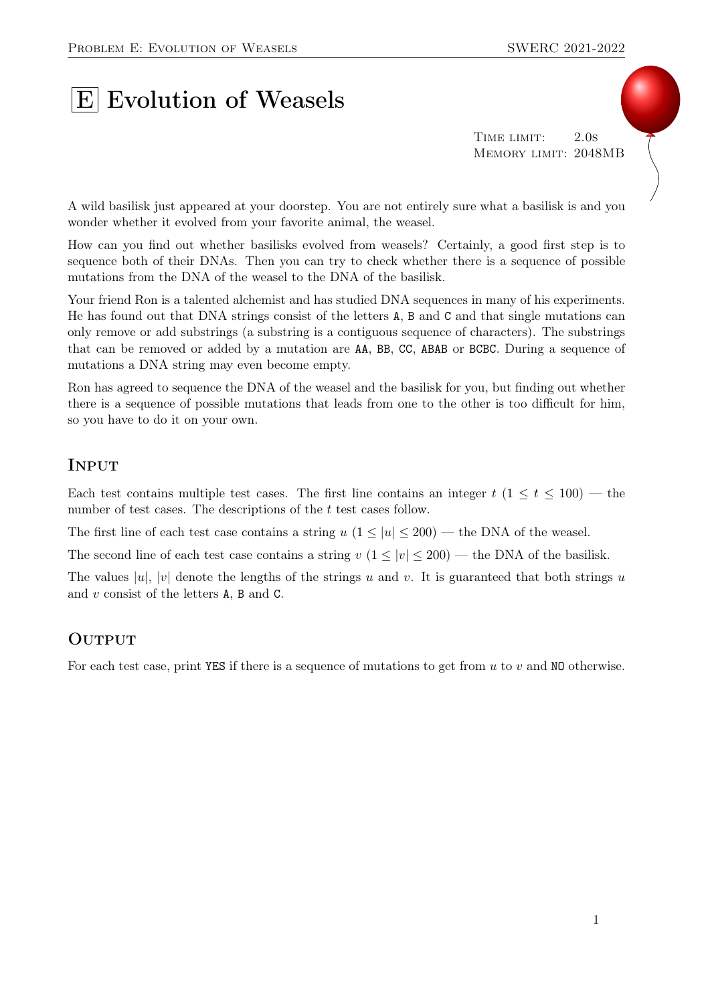## **E** Evolution of Weasels

TIME LIMIT: 2.0s Memory limit: 2048MB

A wild basilisk just appeared at your doorstep. You are not entirely sure what a basilisk is and you wonder whether it evolved from your favorite animal, the weasel.

How can you find out whether basilisks evolved from weasels? Certainly, a good first step is to sequence both of their DNAs. Then you can try to check whether there is a sequence of possible mutations from the DNA of the weasel to the DNA of the basilisk.

Your friend Ron is a talented alchemist and has studied DNA sequences in many of his experiments. He has found out that DNA strings consist of the letters A, B and C and that single mutations can only remove or add substrings (a substring is a contiguous sequence of characters). The substrings that can be removed or added by a mutation are AA, BB, CC, ABAB or BCBC. During a sequence of mutations a DNA string may even become empty.

Ron has agreed to sequence the DNA of the weasel and the basilisk for you, but finding out whether there is a sequence of possible mutations that leads from one to the other is too difficult for him, so you have to do it on your own.

## **INPUT**

Each test contains multiple test cases. The first line contains an integer  $t$  ( $1 \le t \le 100$ ) — the number of test cases. The descriptions of the t test cases follow.

The first line of each test case contains a string  $u$  ( $1 \le |u| \le 200$ ) — the DNA of the weasel.

The second line of each test case contains a string  $v (1 \le |v| \le 200)$  — the DNA of the basilisk.

The values |u|, |v| denote the lengths of the strings u and v. It is guaranteed that both strings u and v consist of the letters A, B and C.

## **OUTPUT**

For each test case, print YES if there is a sequence of mutations to get from  $u$  to  $v$  and NO otherwise.